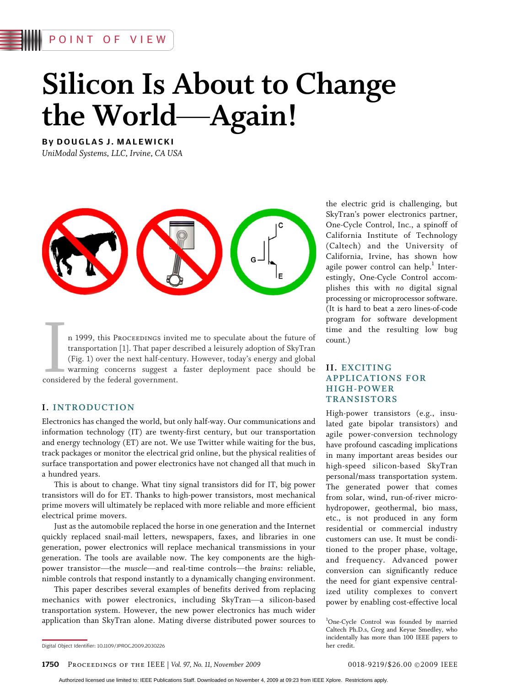# POINT OF VIEW

# Silicon Is About to Change the World-Again!

By DOUGLAS J. MALEWICKI UniModal Systems, LLC, Irvine, CA USA



**I**<br>conside n 1999, this Proceedings invited me to speculate about the future of transportation [1]. That paper described a leisurely adoption of SkyTran (Fig. 1) over the next half-century. However, today's energy and global warming concerns suggest a faster deployment pace should be considered by the federal government.

#### I. INTRODUCTION

Electronics has changed the world, but only half-way. Our communications and information technology (IT) are twenty-first century, but our transportation and energy technology (ET) are not. We use Twitter while waiting for the bus, track packages or monitor the electrical grid online, but the physical realities of surface transportation and power electronics have not changed all that much in a hundred years.

This is about to change. What tiny signal transistors did for IT, big power transistors will do for ET. Thanks to high-power transistors, most mechanical prime movers will ultimately be replaced with more reliable and more efficient electrical prime movers.

Just as the automobile replaced the horse in one generation and the Internet quickly replaced snail-mail letters, newspapers, faxes, and libraries in one generation, power electronics will replace mechanical transmissions in your generation. The tools are available now. The key components are the highpower transistor—the muscle—and real-time controls—the brains: reliable, nimble controls that respond instantly to a dynamically changing environment.

This paper describes several examples of benefits derived from replacing mechanics with power electronics, including SkyTran-a silicon-based transportation system. However, the new power electronics has much wider application than SkyTran alone. Mating diverse distributed power sources to the electric grid is challenging, but SkyTran's power electronics partner, One-Cycle Control, Inc., a spinoff of California Institute of Technology (Caltech) and the University of California, Irvine, has shown how agile power control can help. $<sup>1</sup>$  Inter-</sup> estingly, One-Cycle Control accomplishes this with no digital signal processing or microprocessor software. (It is hard to beat a zero lines-of-code program for software development time and the resulting low bug count.)

## II. EXCITING APPLICATIONS FOR HIGH-POWER TRANSISTORS

High-power transistors (e.g., insulated gate bipolar transistors) and agile power-conversion technology have profound cascading implications in many important areas besides our high-speed silicon-based SkyTran personal/mass transportation system. The generated power that comes from solar, wind, run-of-river microhydropower, geothermal, bio mass, etc., is not produced in any form residential or commercial industry customers can use. It must be conditioned to the proper phase, voltage, and frequency. Advanced power conversion can significantly reduce the need for giant expensive centralized utility complexes to convert power by enabling cost-effective local

1 One-Cycle Control was founded by married Caltech Ph.D.s, Greg and Keyue Smedley, who incidentally has more than 100 IEEE papers to her credit.

1750 PROCEEDINGS OF THE IEEE | Vol. 97, No. 11, November 2009

Digital Object Identifier: 10.1109/JPROC.2009.2030226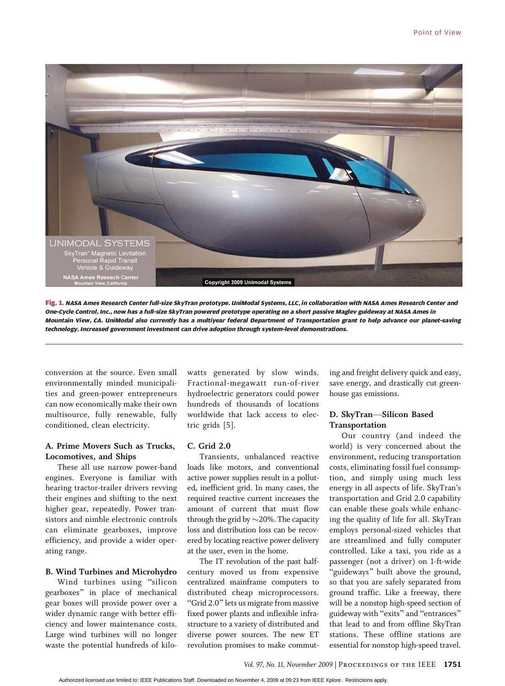

Fig. 1. NASA Ames Research Center full-size SkyTran prototype. UniModal Systems, LLC, in collaboration with NASA Ames Research Center and One-Cycle Control, Inc., now has a full-size SkyTran powered prototype operating on a short passive Maglev guideway at NASA Ames in Mountain View, CA. UniModal also currently has a multiyear federal Department of Transportation grant to help advance our planet-saving technology. Increased government investment can drive adoption through system-level demonstrations.

conversion at the source. Even small environmentally minded municipalities and green-power entrepreneurs can now economically make their own multisource, fully renewable, fully conditioned, clean electricity.

### A. Prime Movers Such as Trucks, Locomotives, and Ships

These all use narrow power-band engines. Everyone is familiar with hearing tractor-trailer drivers revving their engines and shifting to the next higher gear, repeatedly. Power transistors and nimble electronic controls can eliminate gearboxes, improve efficiency, and provide a wider operating range.

#### B. Wind Turbines and Microhydro

Wind turbines using "silicon gearboxes" in place of mechanical gear boxes will provide power over a wider dynamic range with better efficiency and lower maintenance costs. Large wind turbines will no longer waste the potential hundreds of kilowatts generated by slow winds. Fractional-megawatt run-of-river hydroelectric generators could power hundreds of thousands of locations worldwide that lack access to electric grids [5].

#### C. Grid 2.0

Transients, unbalanced reactive loads like motors, and conventional active power supplies result in a polluted, inefficient grid. In many cases, the required reactive current increases the amount of current that must flow through the grid by  $\sim$ 20%. The capacity loss and distribution loss can be recovered by locating reactive power delivery at the user, even in the home.

The IT revolution of the past halfcentury moved us from expensive centralized mainframe computers to distributed cheap microprocessors. "Grid 2.0" lets us migrate from massive fixed power plants and inflexible infrastructure to a variety of distributed and diverse power sources. The new ET revolution promises to make commuting and freight delivery quick and easy, save energy, and drastically cut greenhouse gas emissions.

## D. SkyTran-Silicon Based Transportation

Our country (and indeed the world) is very concerned about the environment, reducing transportation costs, eliminating fossil fuel consumption, and simply using much less energy in all aspects of life. SkyTran's transportation and Grid 2.0 capability can enable these goals while enhancing the quality of life for all. SkyTran employs personal-sized vehicles that are streamlined and fully computer controlled. Like a taxi, you ride as a passenger (not a driver) on 1-ft-wide "guideways" built above the ground, so that you are safely separated from ground traffic. Like a freeway, there will be a nonstop high-speed section of guideway with "exits" and "entrances" that lead to and from offline SkyTran stations. These offline stations are essential for nonstop high-speed travel.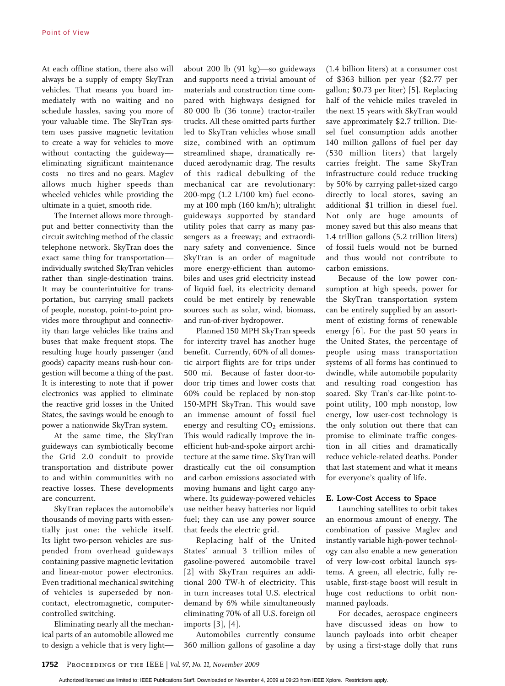At each offline station, there also will always be a supply of empty SkyTran vehicles. That means you board immediately with no waiting and no schedule hassles, saving you more of your valuable time. The SkyTran system uses passive magnetic levitation to create a way for vehicles to move without contacting the guidewayeliminating significant maintenance costs-no tires and no gears. Maglev allows much higher speeds than wheeled vehicles while providing the ultimate in a quiet, smooth ride.

The Internet allows more throughput and better connectivity than the circuit switching method of the classic telephone network. SkyTran does the exact same thing for transportation individually switched SkyTran vehicles rather than single-destination trains. It may be counterintuitive for transportation, but carrying small packets of people, nonstop, point-to-point provides more throughput and connectivity than large vehicles like trains and buses that make frequent stops. The resulting huge hourly passenger (and goods) capacity means rush-hour congestion will become a thing of the past. It is interesting to note that if power electronics was applied to eliminate the reactive grid losses in the United States, the savings would be enough to power a nationwide SkyTran system.

At the same time, the SkyTran guideways can symbiotically become the Grid 2.0 conduit to provide transportation and distribute power to and within communities with no reactive losses. These developments are concurrent.

SkyTran replaces the automobile's thousands of moving parts with essentially just one: the vehicle itself. Its light two-person vehicles are suspended from overhead guideways containing passive magnetic levitation and linear-motor power electronics. Even traditional mechanical switching of vehicles is superseded by noncontact, electromagnetic, computercontrolled switching.

Eliminating nearly all the mechanical parts of an automobile allowed me to design a vehicle that is very lightabout 200 lb (91 kg)-so guideways and supports need a trivial amount of materials and construction time compared with highways designed for 80 000 lb (36 tonne) tractor-trailer trucks. All these omitted parts further led to SkyTran vehicles whose small size, combined with an optimum streamlined shape, dramatically reduced aerodynamic drag. The results of this radical debulking of the mechanical car are revolutionary: 200-mpg (1.2 L/100 km) fuel economy at 100 mph (160 km/h); ultralight guideways supported by standard utility poles that carry as many passengers as a freeway; and extraordinary safety and convenience. Since SkyTran is an order of magnitude more energy-efficient than automobiles and uses grid electricity instead of liquid fuel, its electricity demand could be met entirely by renewable sources such as solar, wind, biomass, and run-of-river hydropower.

Planned 150 MPH SkyTran speeds for intercity travel has another huge benefit. Currently, 60% of all domestic airport flights are for trips under 500 mi. Because of faster door-todoor trip times and lower costs that 60% could be replaced by non-stop 150-MPH SkyTran. This would save an immense amount of fossil fuel energy and resulting  $CO<sub>2</sub>$  emissions. This would radically improve the inefficient hub-and-spoke airport architecture at the same time. SkyTran will drastically cut the oil consumption and carbon emissions associated with moving humans and light cargo anywhere. Its guideway-powered vehicles use neither heavy batteries nor liquid fuel; they can use any power source that feeds the electric grid.

Replacing half of the United States' annual 3 trillion miles of gasoline-powered automobile travel [2] with SkyTran requires an additional 200 TW-h of electricity. This in turn increases total U.S. electrical demand by 6% while simultaneously eliminating 70% of all U.S. foreign oil imports [3], [4].

Automobiles currently consume 360 million gallons of gasoline a day (1.4 billion liters) at a consumer cost of \$363 billion per year (\$2.77 per gallon; \$0.73 per liter) [5]. Replacing half of the vehicle miles traveled in the next 15 years with SkyTran would save approximately \$2.7 trillion. Diesel fuel consumption adds another 140 million gallons of fuel per day (530 million liters) that largely carries freight. The same SkyTran infrastructure could reduce trucking by 50% by carrying pallet-sized cargo directly to local stores, saving an additional \$1 trillion in diesel fuel. Not only are huge amounts of money saved but this also means that 1.4 trillion gallons (5.2 trillion liters) of fossil fuels would not be burned and thus would not contribute to carbon emissions.

Because of the low power consumption at high speeds, power for the SkyTran transportation system can be entirely supplied by an assortment of existing forms of renewable energy [6]. For the past 50 years in the United States, the percentage of people using mass transportation systems of all forms has continued to dwindle, while automobile popularity and resulting road congestion has soared. Sky Tran's car-like point-topoint utility, 100 mph nonstop, low energy, low user-cost technology is the only solution out there that can promise to eliminate traffic congestion in all cities and dramatically reduce vehicle-related deaths. Ponder that last statement and what it means for everyone's quality of life.

#### E. Low-Cost Access to Space

Launching satellites to orbit takes an enormous amount of energy. The combination of passive Maglev and instantly variable high-power technology can also enable a new generation of very low-cost orbital launch systems. A green, all electric, fully reusable, first-stage boost will result in huge cost reductions to orbit nonmanned payloads.

For decades, aerospace engineers have discussed ideas on how to launch payloads into orbit cheaper by using a first-stage dolly that runs

Authorized licensed use limited to: IEEE Publications Staff. Downloaded on November 4, 2009 at 09:23 from IEEE Xplore. Restrictions apply.